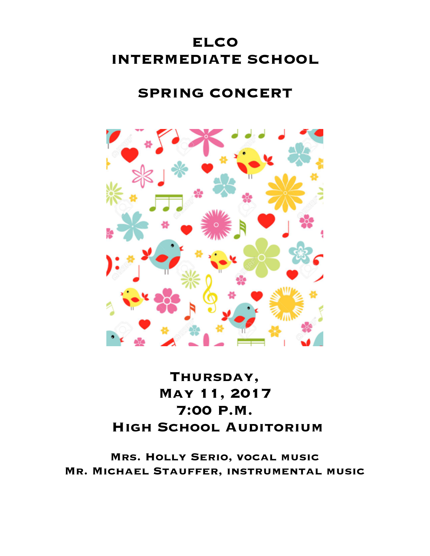# **ELCO INTERMEDIATE SCHOOL**

# **SPRING CONCERT**



# **Thursday, May 11, 2017 7:00 P.M. High School Auditorium**

**Mrs. Holly Serio, vocal music Mr. Michael Stauffer, instrumental music**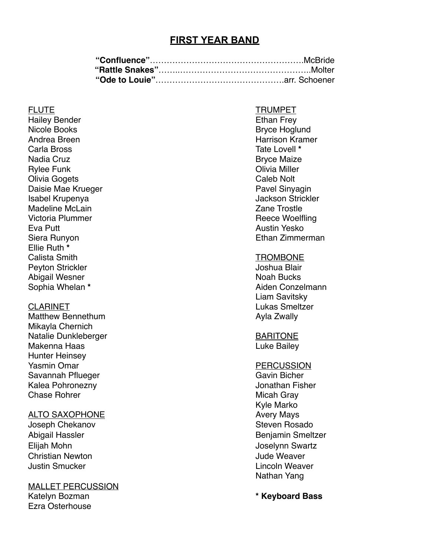## **FIRST YEAR BAND**

Hailey Bender **Ethan Frey** Nicole Books **Bryce Hoglund** Bryce Hoglund Andrea Breen **Harrison Kramer** Harrison Kramer Carla Bross Tate Lovell **\*** Nadia Cruz **Bryce Maize** Bryce Maize Rylee Funk **Olivia Miller** Olivia Gogets **Caleb Not Caleb Not Caleb Not Caleb Not** Caleb Not Caleb Not Caleb Not Caleb Not Caleb Not Caleb Not Caleb Not Caleb Not Caleb Not Caleb Not Caleb Not Caleb Not Caleb Not Caleb Not Caleb Not Caleb Not Caleb Daisie Mae Krueger **Pavel Sinyagin** Pavel Sinyagin Isabel Krupenya Jackson Strickler Madeline McLain **Zane Trostle** Victoria Plummer **Reece Woelfling** Eva Putt Austin Yesko Siera Runyon Ethan Zimmerman Ellie Ruth **\*** Calista Smith TROMBONE Peyton Strickler **Joshua Blair** Joshua Blair Abigail Wesner Noah Bucks Noah Bucks Noah Bucks Noah Bucks Noah Bucks Noah Bucks Noah Bucks Noah Bucks Noah Bucks No Sophia Whelan **\*** Aiden Conzelmann

Matthew Bennethum **Ayla Zwally** Mikayla Chernich Natalie Dunkleberger **BARITONE** Makenna Haas Luke Bailey Hunter Heinsey Yasmin Omar PERCUSSION Savannah Pflueger Gavin Bicher Kalea Pohronezny Jonathan Fisher Chase Rohrer Micah Gray Micah Gray

### ALTO SAXOPHONE Avery Mays

Elijah Mohn Joselynn Swartz Christian Newton Jude Weaver Justin Smucker Lincoln Weaver

MALLET PERCUSSION Katelyn Bozman **\* Keyboard Bass** Ezra Osterhouse

### FLUTE TRUMPET

Liam Savitsky CLARINET **Lukas Smeltzer** 

Kyle Marko Joseph Chekanov **Steven Rosado** Steven Rosado Abigail Hassler **Benjamin Smeltzer** Benjamin Smeltzer Nathan Yang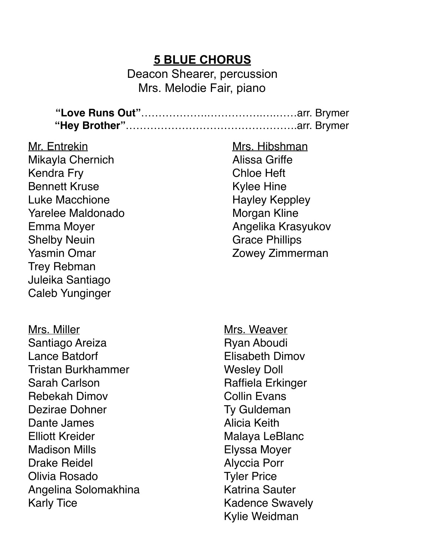## **5 BLUE CHORUS**

Deacon Shearer, percussion Mrs. Melodie Fair, piano

**"Love Runs Out"**……………….…………….….……arr. Brymer **"Hey Brother"**………………………………………….arr. Brymer

Mr. Entrekin Mikayla Chernich Kendra Fry Bennett Kruse Luke Macchione Yarelee Maldonado Emma Moyer Shelby Neuin Yasmin Omar Trey Rebman Juleika Santiago Caleb Yunginger

Mrs. Miller Santiago Areiza Lance Batdorf Tristan Burkhammer Sarah Carlson Rebekah Dimov Dezirae Dohner Dante James Elliott Kreider Madison Mills Drake Reidel Olivia Rosado Angelina Solomakhina Karly Tice

Mrs. Hibshman Alissa Griffe Chloe Heft Kylee Hine Hayley Keppley Morgan Kline Angelika Krasyukov Grace Phillips Zowey Zimmerman

Mrs. Weaver Ryan Aboudi Elisabeth Dimov Wesley Doll Raffiela Erkinger Collin Evans Ty Guldeman Alicia Keith Malaya LeBlanc Elyssa Moyer Alyccia Porr Tyler Price Katrina Sauter Kadence Swavely Kylie Weidman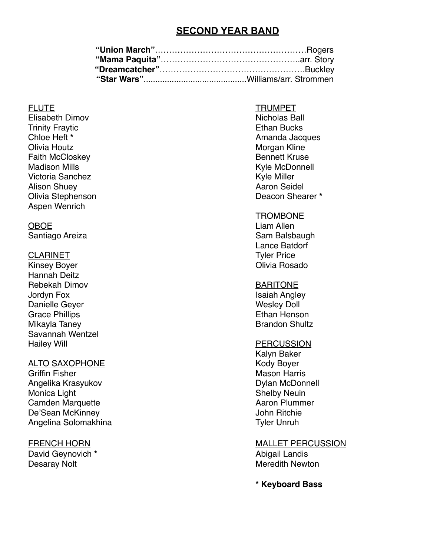## **SECOND YEAR BAND**

Elisabeth Dimov **Nicholas Ball Trinity Fraytic Community Fraytic Ethan Bucks** Olivia Houtz **Morgan Kline** Faith McCloskey **Bennett Kruse** Madison Mills **Music Connell** Connection Connection Connection Connection Connection Connection Connection Connection Connection Connection Connection Connection Connection Connection Connection Connection Connection Conne Victoria Sanchez **Kyle Miller** Kyle Miller Alison Shuey **Aaron Seidel** Aaron Seidel **Aaron Seidel** Olivia Stephenson Deacon Shearer **\*** Aspen Wenrich

Kinsey Boyer **Calculates** Controller Controller Controller Controller Controller Controller Controller Controller Hannah Deitz Rebekah Dimov **BARITONE** Jordyn Fox **Isaiah Angley** Danielle Geyer November 2012 and 2012 and 2012 and 2012 and 2012 and 2012 and 2012 and 2012 and 2012 and 2012 Grace Phillips **Ethan Henson** Mikayla Taney **Brandon Shultz** Brandon Shultz Savannah Wentzel Hailey Will **Hailey Will** 

### ALTO SAXOPHONE Kody Boyer

Griffin Fisher Mason Harris Communication and Mason Harris Mason Harris Communication Account Mason Harris Angelika Krasyukov **Dylan McDonnell** Monica Light **Shelby Neuin** Camden Marquette **Aaron Plummer** Aaron Plummer De'Sean McKinney **Details** and the United Sean McKinney Angelina Solomakhina Tyler Unruh

David Geynovich \* **Abigail Landis Abigail Landis** Desaray Nolt **Meredith Newton** 

### FLUTE TRUMPET

**Chloe Heft \*** Amanda Jacques

### **TROMBONE**

OBOE Liam Allen Santiago Areiza **Santiago Areiza** Santiago Areiza Lance Batdorf CLARINET Tyler Price

Kalyn Baker

FRENCH HORN GENERAL MALLET PERCUSSION

**\* Keyboard Bass**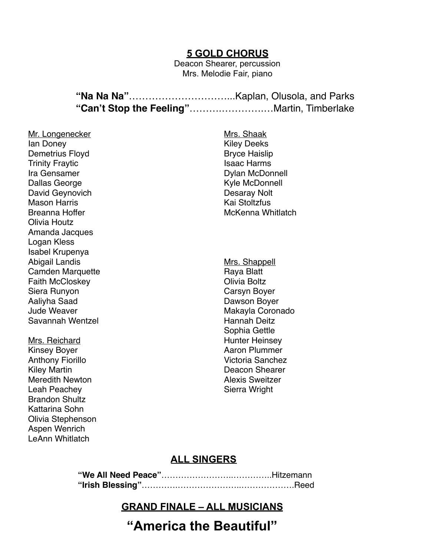## **5 GOLD CHORUS**

Deacon Shearer, percussion Mrs. Melodie Fair, piano

Mr. Longenecker Ian Doney Demetrius Floyd Trinity Fraytic Ira Gensamer Dallas George David Geynovich Mason Harris Breanna Hoffer Olivia Houtz Amanda Jacques Logan Kless Isabel Krupenya Abigail Landis Camden Marquette Faith McCloskey Siera Runyon Aaliyha Saad Jude Weaver Savannah Wentzel

Mrs. Reichard Kinsey Boyer Anthony Fiorillo Kiley Martin Meredith Newton Leah Peachey Brandon Shultz Kattarina Sohn Olivia Stephenson Aspen Wenrich LeAnn Whitlatch

Mrs. Shaak Kiley Deeks Bryce Haislip Isaac Harms Dylan McDonnell Kyle McDonnell Desaray Nolt Kai Stoltzfus McKenna Whitlatch

Mrs. Shappell Raya Blatt Olivia Boltz Carsyn Boyer Dawson Boyer Makayla Coronado Hannah Deitz Sophia Gettle Hunter Heinsey Aaron Plummer Victoria Sanchez Deacon Shearer Alexis Sweitzer Sierra Wright

## **ALL SINGERS**

## **GRAND FINALE – ALL MUSICIANS**

**"America the Beautiful"**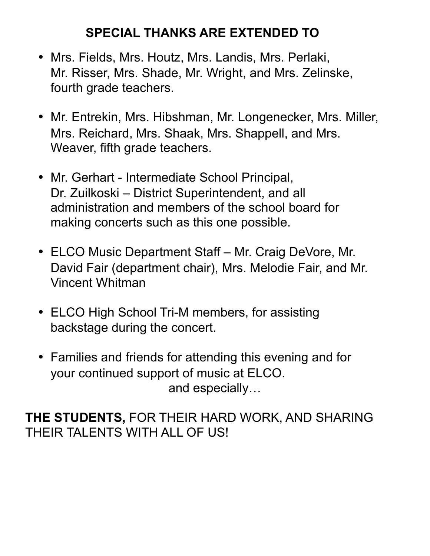# **SPECIAL THANKS ARE EXTENDED TO**

- Mrs. Fields, Mrs. Houtz, Mrs. Landis, Mrs. Perlaki, Mr. Risser, Mrs. Shade, Mr. Wright, and Mrs. Zelinske, fourth grade teachers.
- Mr. Entrekin, Mrs. Hibshman, Mr. Longenecker, Mrs. Miller, Mrs. Reichard, Mrs. Shaak, Mrs. Shappell, and Mrs. Weaver, fifth grade teachers.
- Mr. Gerhart Intermediate School Principal, Dr. Zuilkoski – District Superintendent, and all administration and members of the school board for making concerts such as this one possible.
- ELCO Music Department Staff Mr. Craig DeVore, Mr. David Fair (department chair), Mrs. Melodie Fair, and Mr. Vincent Whitman
- ELCO High School Tri-M members, for assisting backstage during the concert.
- Families and friends for attending this evening and for your continued support of music at ELCO. and especially…

**THE STUDENTS,** FOR THEIR HARD WORK, AND SHARING THEIR TALENTS WITH ALL OF US!